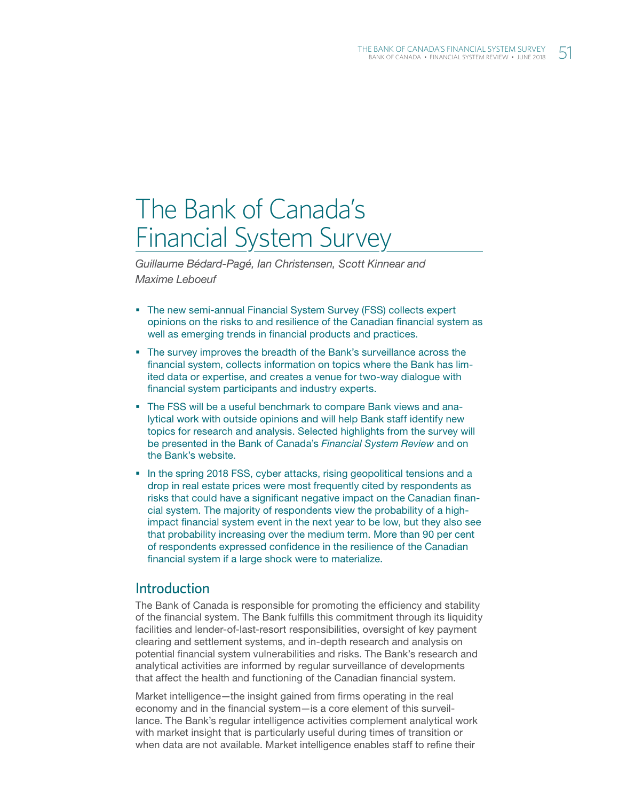# The Bank of Canada's Financial System Survey

*Guillaume Bédard-Pagé, Ian Christensen, Scott Kinnear and Maxime Leboeuf*

- The new semi-annual Financial System Survey (FSS) collects expert opinions on the risks to and resilience of the Canadian financial system as well as emerging trends in financial products and practices.
- The survey improves the breadth of the Bank's surveillance across the financial system, collects information on topics where the Bank has limited data or expertise, and creates a venue for two-way dialogue with financial system participants and industry experts.
- The FSS will be a useful benchmark to compare Bank views and analytical work with outside opinions and will help Bank staff identify new topics for research and analysis. Selected highlights from the survey will be presented in the Bank of Canada's *Financial System Review* and on the Bank's website.
- In the spring 2018 FSS, cyber attacks, rising geopolitical tensions and a drop in real estate prices were most frequently cited by respondents as risks that could have a significant negative impact on the Canadian financial system. The majority of respondents view the probability of a highimpact financial system event in the next year to be low, but they also see that probability increasing over the medium term. More than 90 per cent of respondents expressed confidence in the resilience of the Canadian financial system if a large shock were to materialize.

## Introduction

The Bank of Canada is responsible for promoting the efficiency and stability of the financial system. The Bank fulfills this commitment through its liquidity facilities and lender-of-last-resort responsibilities, oversight of key payment clearing and settlement systems, and in-depth research and analysis on potential financial system vulnerabilities and risks. The Bank's research and analytical activities are informed by regular surveillance of developments that affect the health and functioning of the Canadian financial system.

Market intelligence—the insight gained from firms operating in the real economy and in the financial system—is a core element of this surveillance. The Bank's regular intelligence activities complement analytical work with market insight that is particularly useful during times of transition or when data are not available. Market intelligence enables staff to refine their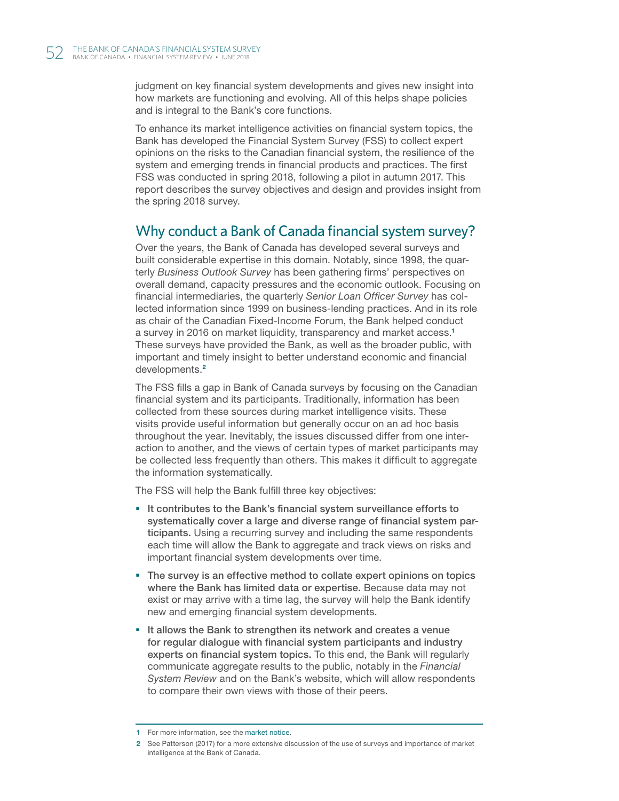judgment on key financial system developments and gives new insight into how markets are functioning and evolving. All of this helps shape policies and is integral to the Bank's core functions.

To enhance its market intelligence activities on financial system topics, the Bank has developed the Financial System Survey (FSS) to collect expert opinions on the risks to the Canadian financial system, the resilience of the system and emerging trends in financial products and practices. The first FSS was conducted in spring 2018, following a pilot in autumn 2017. This report describes the survey objectives and design and provides insight from the spring 2018 survey.

# Why conduct a Bank of Canada financial system survey?

Over the years, the Bank of Canada has developed several surveys and built considerable expertise in this domain. Notably, since 1998, the quarterly *Business Outlook Survey* has been gathering firms' perspectives on overall demand, capacity pressures and the economic outlook. Focusing on financial intermediaries, the quarterly *Senior Loan Officer Survey* has collected information since 1999 on business-lending practices. And in its role as chair of the Canadian Fixed-Income Forum, the Bank helped conduct a survey in 2016 on market liquidity, transparency and market access.<sup>1</sup> These surveys have provided the Bank, as well as the broader public, with important and timely insight to better understand economic and financial developments.<sup>2</sup>

The FSS fills a gap in Bank of Canada surveys by focusing on the Canadian financial system and its participants. Traditionally, information has been collected from these sources during market intelligence visits. These visits provide useful information but generally occur on an ad hoc basis throughout the year. Inevitably, the issues discussed differ from one interaction to another, and the views of certain types of market participants may be collected less frequently than others. This makes it difficult to aggregate the information systematically.

The FSS will help the Bank fulfill three key objectives:

- It contributes to the Bank's financial system surveillance efforts to systematically cover a large and diverse range of financial system participants. Using a recurring survey and including the same respondents each time will allow the Bank to aggregate and track views on risks and important financial system developments over time.
- The survey is an effective method to collate expert opinions on topics where the Bank has limited data or expertise. Because data may not exist or may arrive with a time lag, the survey will help the Bank identify new and emerging financial system developments.
- If allows the Bank to strengthen its network and creates a venue for regular dialogue with financial system participants and industry experts on financial system topics. To this end, the Bank will regularly communicate aggregate results to the public, notably in the *Financial System Review* and on the Bank's website, which will allow respondents to compare their own views with those of their peers.

<sup>1</sup> For more information, see the [market notice](http://www.bankofcanada.ca/?p=188775).

<sup>2</sup> See Patterson (2017) for a more extensive discussion of the use of surveys and importance of market intelligence at the Bank of Canada.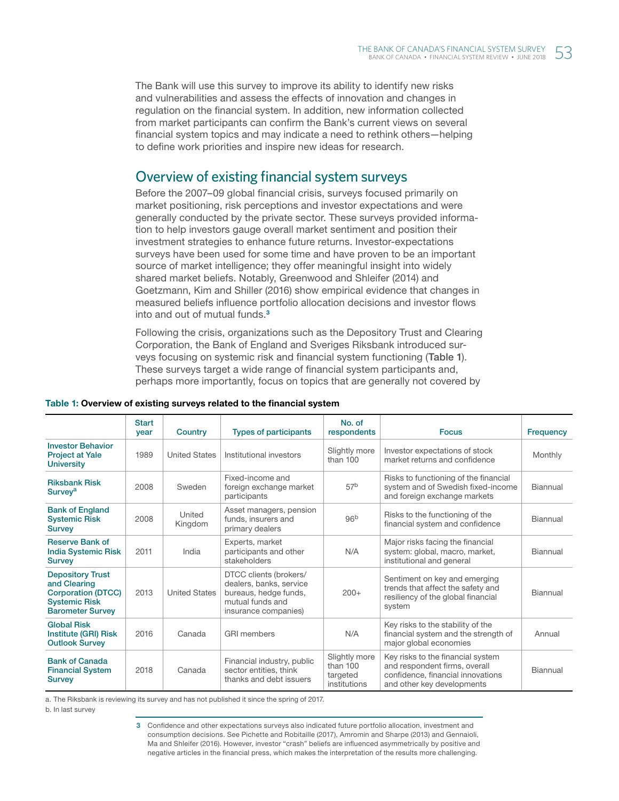The Bank will use this survey to improve its ability to identify new risks and vulnerabilities and assess the effects of innovation and changes in regulation on the financial system. In addition, new information collected from market participants can confirm the Bank's current views on several financial system topics and may indicate a need to rethink others—helping to define work priorities and inspire new ideas for research.

# Overview of existing financial system surveys

Before the 2007–09 global financial crisis, surveys focused primarily on market positioning, risk perceptions and investor expectations and were generally conducted by the private sector. These surveys provided information to help investors gauge overall market sentiment and position their investment strategies to enhance future returns. Investor-expectations surveys have been used for some time and have proven to be an important source of market intelligence; they offer meaningful insight into widely shared market beliefs. Notably, Greenwood and Shleifer (2014) and Goetzmann, Kim and Shiller (2016) show empirical evidence that changes in measured beliefs influence portfolio allocation decisions and investor flows into and out of mutual funds.<sup>3</sup>

Following the crisis, organizations such as the Depository Trust and Clearing Corporation, the Bank of England and Sveriges Riksbank introduced surveys focusing on systemic risk and financial system functioning (Table 1). These surveys target a wide range of financial system participants and, perhaps more importantly, focus on topics that are generally not covered by

|                                                                                                                         | <b>Start</b><br>year | Country              | <b>Types of participants</b>                                                                                           | No. of<br>respondents                                 | <b>Focus</b>                                                                                                                          | <b>Frequency</b> |
|-------------------------------------------------------------------------------------------------------------------------|----------------------|----------------------|------------------------------------------------------------------------------------------------------------------------|-------------------------------------------------------|---------------------------------------------------------------------------------------------------------------------------------------|------------------|
| <b>Investor Behavior</b><br><b>Project at Yale</b><br><b>University</b>                                                 | 1989                 | <b>United States</b> | Institutional investors                                                                                                | Slightly more<br>than 100                             | Investor expectations of stock<br>market returns and confidence                                                                       | Monthly          |
| <b>Riksbank Risk</b><br>Survey <sup>a</sup>                                                                             | 2008                 | Sweden               | Fixed-income and<br>foreign exchange market<br>participants                                                            | 57 <sup>b</sup>                                       | Risks to functioning of the financial<br>system and of Swedish fixed-income<br>and foreign exchange markets                           | Biannual         |
| <b>Bank of England</b><br><b>Systemic Risk</b><br><b>Survey</b>                                                         | 2008                 | United<br>Kingdom    | Asset managers, pension<br>funds, insurers and<br>primary dealers                                                      | 96 <sup>b</sup>                                       | Risks to the functioning of the<br>financial system and confidence                                                                    | Biannual         |
| <b>Reserve Bank of</b><br><b>India Systemic Risk</b><br><b>Survey</b>                                                   | 2011                 | India                | Experts, market<br>participants and other<br>stakeholders                                                              | N/A                                                   | Major risks facing the financial<br>system: global, macro, market,<br>institutional and general                                       | Biannual         |
| <b>Depository Trust</b><br>and Clearing<br><b>Corporation (DTCC)</b><br><b>Systemic Risk</b><br><b>Barometer Survey</b> | 2013                 | <b>United States</b> | DTCC clients (brokers/<br>dealers, banks, service<br>bureaus, hedge funds,<br>mutual funds and<br>insurance companies) | $200+$                                                | Sentiment on key and emerging<br>trends that affect the safety and<br>resiliency of the global financial<br>system                    | Biannual         |
| <b>Global Risk</b><br>Institute (GRI) Risk<br><b>Outlook Survey</b>                                                     | 2016                 | Canada               | <b>GRI</b> members                                                                                                     | N/A                                                   | Key risks to the stability of the<br>financial system and the strength of<br>major global economies                                   | Annual           |
| <b>Bank of Canada</b><br><b>Financial System</b><br><b>Survey</b>                                                       | 2018                 | Canada               | Financial industry, public<br>sector entities, think<br>thanks and debt issuers                                        | Slightly more<br>than 100<br>targeted<br>institutions | Key risks to the financial system<br>and respondent firms, overall<br>confidence, financial innovations<br>and other key developments | Biannual         |

#### Table 1: Overview of existing surveys related to the financial system

a. The Riksbank is reviewing its survey and has not published it since the spring of 2017.

b. In last survey

3 Confidence and other expectations surveys also indicated future portfolio allocation, investment and consumption decisions. See Pichette and Robitaille (2017), Amromin and Sharpe (2013) and Gennaioli, Ma and Shleifer (2016). However, investor "crash" beliefs are influenced asymmetrically by positive and negative articles in the financial press, which makes the interpretation of the results more challenging.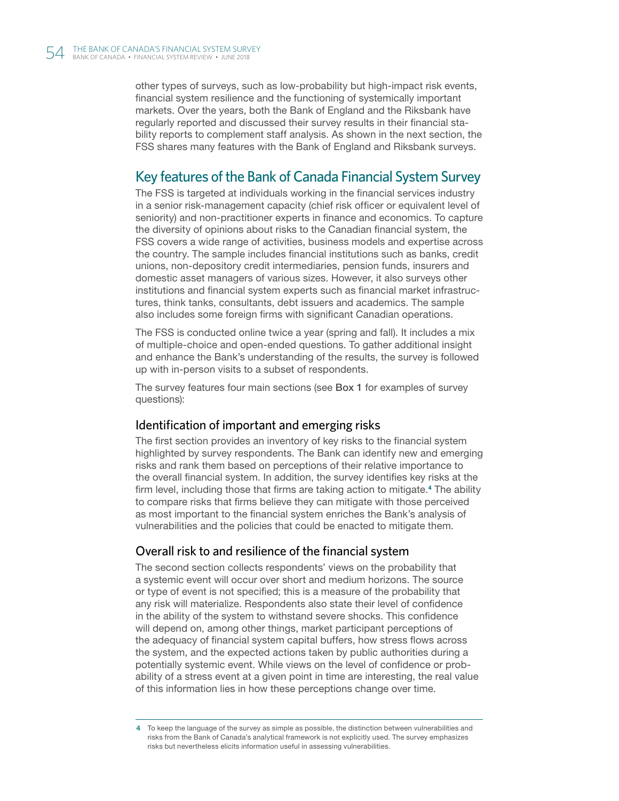other types of surveys, such as low-probability but high-impact risk events, financial system resilience and the functioning of systemically important markets. Over the years, both the Bank of England and the Riksbank have regularly reported and discussed their survey results in their financial stability reports to complement staff analysis. As shown in the next section, the FSS shares many features with the Bank of England and Riksbank surveys.

# Key features of the Bank of Canada Financial System Survey

The FSS is targeted at individuals working in the financial services industry in a senior risk-management capacity (chief risk officer or equivalent level of seniority) and non-practitioner experts in finance and economics. To capture the diversity of opinions about risks to the Canadian financial system, the FSS covers a wide range of activities, business models and expertise across the country. The sample includes financial institutions such as banks, credit unions, non-depository credit intermediaries, pension funds, insurers and domestic asset managers of various sizes. However, it also surveys other institutions and financial system experts such as financial market infrastructures, think tanks, consultants, debt issuers and academics. The sample also includes some foreign firms with significant Canadian operations.

The FSS is conducted online twice a year (spring and fall). It includes a mix of multiple-choice and open-ended questions. To gather additional insight and enhance the Bank's understanding of the results, the survey is followed up with in-person visits to a subset of respondents.

The survey features four main sections (see Box 1 for examples of survey questions):

## Identification of important and emerging risks

The first section provides an inventory of key risks to the financial system highlighted by survey respondents. The Bank can identify new and emerging risks and rank them based on perceptions of their relative importance to the overall financial system. In addition, the survey identifies key risks at the firm level, including those that firms are taking action to mitigate.<sup>4</sup> The ability to compare risks that firms believe they can mitigate with those perceived as most important to the financial system enriches the Bank's analysis of vulnerabilities and the policies that could be enacted to mitigate them.

## Overall risk to and resilience of the financial system

The second section collects respondents' views on the probability that a systemic event will occur over short and medium horizons. The source or type of event is not specified; this is a measure of the probability that any risk will materialize. Respondents also state their level of confidence in the ability of the system to withstand severe shocks. This confidence will depend on, among other things, market participant perceptions of the adequacy of financial system capital buffers, how stress flows across the system, and the expected actions taken by public authorities during a potentially systemic event. While views on the level of confidence or probability of a stress event at a given point in time are interesting, the real value of this information lies in how these perceptions change over time.

<sup>4</sup> To keep the language of the survey as simple as possible, the distinction between vulnerabilities and risks from the Bank of Canada's analytical framework is not explicitly used. The survey emphasizes risks but nevertheless elicits information useful in assessing vulnerabilities.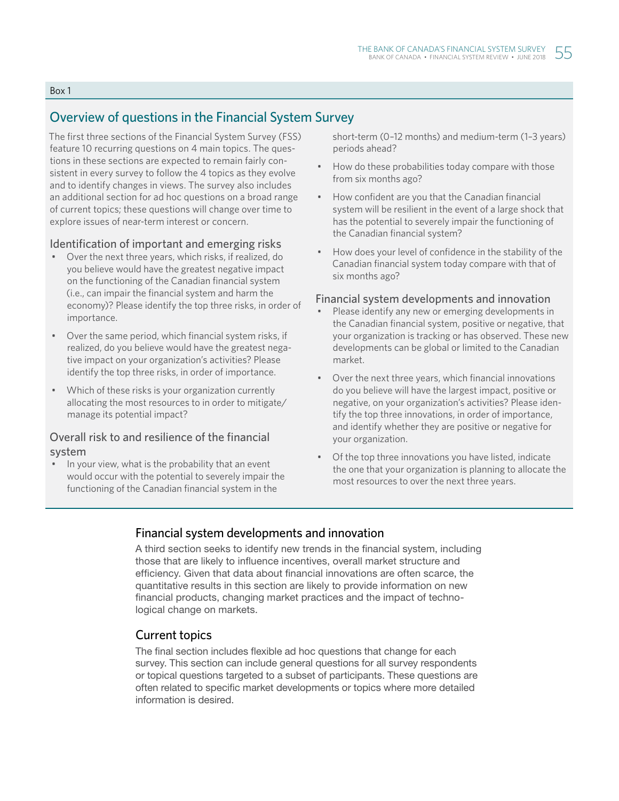#### Box 1

# Overview of questions in the Financial System Survey

The first three sections of the Financial System Survey (FSS) feature 10 recurring questions on 4 main topics . The questions in these sections are expected to remain fairly consistent in every survey to follow the 4 topics as they evolve and to identify changes in views . The survey also includes an additional section for ad hoc questions on a broad range of current topics; these questions will change over time to explore issues of near-term interest or concern.

#### Identification of important and emerging risks

- Over the next three years, which risks, if realized, do you believe would have the greatest negative impact on the functioning of the Canadian financial system (i.e., can impair the financial system and harm the economy)? Please identify the top three risks, in order of importance.
- Over the same period, which financial system risks, if realized, do you believe would have the greatest negative impact on your organization's activities? Please identify the top three risks, in order of importance.
- Which of these risks is your organization currently allocating the most resources to in order to mitigate/ manage its potential impact?

## Overall risk to and resilience of the financial system

• In your view, what is the probability that an event would occur with the potential to severely impair the functioning of the Canadian financial system in the

short-term (0–12 months) and medium-term (1–3 years) periods ahead?

- How do these probabilities today compare with those from six months ago?
- How confident are you that the Canadian financial system will be resilient in the event of a large shock that has the potential to severely impair the functioning of the Canadian financial system?
- How does your level of confidence in the stability of the Canadian financial system today compare with that of six months ago?

#### Financial system developments and innovation

- Please identify any new or emerging developments in the Canadian financial system, positive or negative, that your organization is tracking or has observed. These new developments can be global or limited to the Canadian market.
- Over the next three years, which financial innovations do you believe will have the largest impact, positive or negative, on your organization's activities? Please identify the top three innovations, in order of importance, and identify whether they are positive or negative for your organization.
- Of the top three innovations you have listed, indicate the one that your organization is planning to allocate the most resources to over the next three years.

## Financial system developments and innovation

A third section seeks to identify new trends in the financial system, including those that are likely to influence incentives, overall market structure and efficiency. Given that data about financial innovations are often scarce, the quantitative results in this section are likely to provide information on new financial products, changing market practices and the impact of technological change on markets.

## Current topics

The final section includes flexible ad hoc questions that change for each survey. This section can include general questions for all survey respondents or topical questions targeted to a subset of participants. These questions are often related to specific market developments or topics where more detailed information is desired.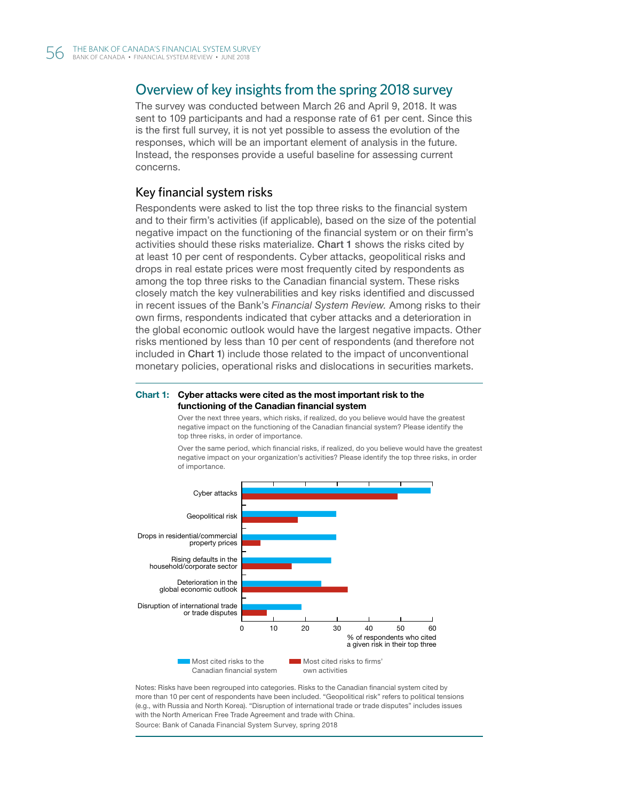# Overview of key insights from the spring 2018 survey

The survey was conducted between March 26 and April 9, 2018. It was sent to 109 participants and had a response rate of 61 per cent. Since this is the first full survey, it is not yet possible to assess the evolution of the responses, which will be an important element of analysis in the future. Instead, the responses provide a useful baseline for assessing current concerns.

#### Key financial system risks

Respondents were asked to list the top three risks to the financial system and to their firm's activities (if applicable), based on the size of the potential negative impact on the functioning of the financial system or on their firm's activities should these risks materialize. Chart 1 shows the risks cited by at least 10 per cent of respondents. Cyber attacks, geopolitical risks and drops in real estate prices were most frequently cited by respondents as among the top three risks to the Canadian financial system. These risks closely match the key vulnerabilities and key risks identified and discussed in recent issues of the Bank's *Financial System Review.* Among risks to their own firms, respondents indicated that cyber attacks and a deterioration in the global economic outlook would have the largest negative impacts. Other risks mentioned by less than 10 per cent of respondents (and therefore not included in Chart 1) include those related to the impact of unconventional monetary policies, operational risks and dislocations in securities markets.

#### Chart 1: Cyber attacks were cited as the most important risk to the functioning of the Canadian financial system

Over the next three years, which risks, if realized, do you believe would have the greatest negative impact on the functioning of the Canadian financial system? Please identify the top three risks, in order of importance.



Over the same period, which financial risks, if realized, do you believe would have the greatest negative impact on your organization's activities? Please identify the top three risks, in order of importance.

Notes: Risks have been regrouped into categories. Risks to the Canadian financial system cited by more than 10 per cent of respondents have been included. "Geopolitical risk" refers to political tensions (e.g., with Russia and North Korea). "Disruption of international trade or trade disputes" includes issues with the North American Free Trade Agreement and trade with China. Source: Bank of Canada Financial System Survey, spring 2018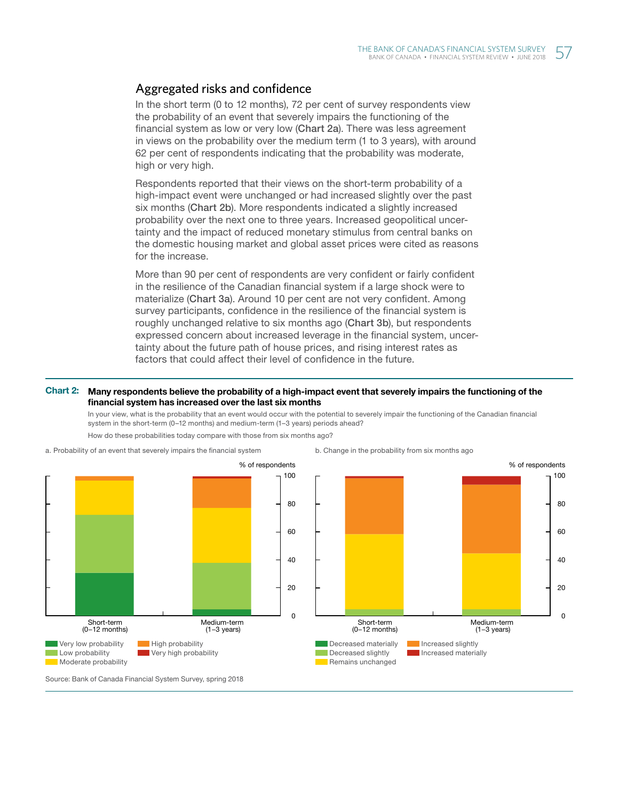## Aggregated risks and confidence

In the short term (0 to 12 months), 72 per cent of survey respondents view the probability of an event that severely impairs the functioning of the financial system as low or very low (Chart 2a). There was less agreement in views on the probability over the medium term (1 to 3 years), with around 62 per cent of respondents indicating that the probability was moderate, high or very high.

Respondents reported that their views on the short-term probability of a high-impact event were unchanged or had increased slightly over the past six months (Chart 2b). More respondents indicated a slightly increased probability over the next one to three years. Increased geopolitical uncertainty and the impact of reduced monetary stimulus from central banks on the domestic housing market and global asset prices were cited as reasons for the increase.

More than 90 per cent of respondents are very confident or fairly confident in the resilience of the Canadian financial system if a large shock were to materialize (Chart 3a). Around 10 per cent are not very confident. Among survey participants, confidence in the resilience of the financial system is roughly unchanged relative to six months ago (Chart 3b), but respondents expressed concern about increased leverage in the financial system, uncertainty about the future path of house prices, and rising interest rates as factors that could affect their level of confidence in the future.

#### Chart 2: Many respondents believe the probability of a high-impact event that severely impairs the functioning of the financial system has increased over the last six months

In your view, what is the probability that an event would occur with the potential to severely impair the functioning of the Canadian financial system in the short-term (0–12 months) and medium-term (1–3 years) periods ahead?



a. Probability of an event that severely impairs the financial system

How do these probabilities today compare with those from six months ago?



Source: Bank of Canada Financial System Survey, spring 2018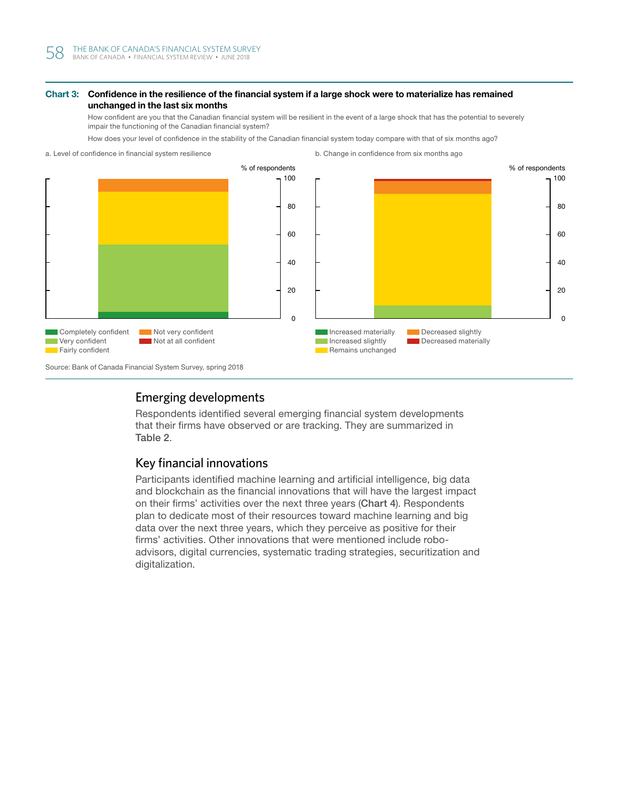#### Chart 3: Confidence in the resilience of the financial system if a large shock were to materialize has remained unchanged in the last six months

How confident are you that the Canadian financial system will be resilient in the event of a large shock that has the potential to severely impair the functioning of the Canadian financial system?

How does your level of confidence in the stability of the Canadian financial system today compare with that of six months ago?



## Emerging developments

Respondents identified several emerging financial system developments that their firms have observed or are tracking. They are summarized in Table 2.

## Key financial innovations

Participants identified machine learning and artificial intelligence, big data and blockchain as the financial innovations that will have the largest impact on their firms' activities over the next three years (Chart 4). Respondents plan to dedicate most of their resources toward machine learning and big data over the next three years, which they perceive as positive for their firms' activities. Other innovations that were mentioned include roboadvisors, digital currencies, systematic trading strategies, securitization and digitalization.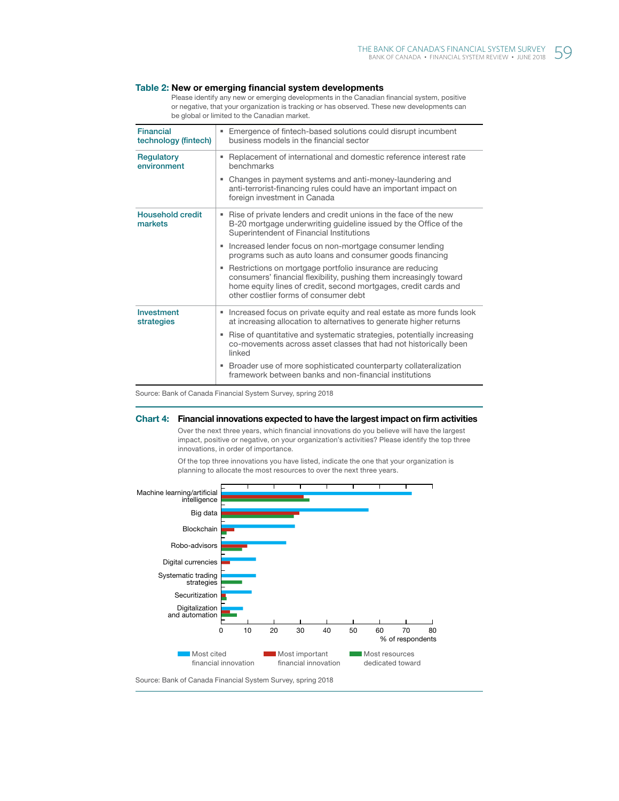#### Table 2: New or emerging financial system developments

Please identify any new or emerging developments in the Canadian financial system, positive or negative, that your organization is tracking or has observed. These new developments can be global or limited to the Canadian market.

| <b>Financial</b><br>technology (fintech) | Emergence of fintech-based solutions could disrupt incumbent<br>٠<br>business models in the financial sector                                                                                                                                |
|------------------------------------------|---------------------------------------------------------------------------------------------------------------------------------------------------------------------------------------------------------------------------------------------|
| Regulatory<br>environment                | Replacement of international and domestic reference interest rate<br>benchmarks                                                                                                                                                             |
|                                          | Changes in payment systems and anti-money-laundering and<br>anti-terrorist-financing rules could have an important impact on<br>foreign investment in Canada                                                                                |
| <b>Household credit</b><br>markets       | Rise of private lenders and credit unions in the face of the new<br>н.<br>B-20 mortgage underwriting guideline issued by the Office of the<br>Superintendent of Financial Institutions                                                      |
|                                          | Increased lender focus on non-mortgage consumer lending<br>programs such as auto loans and consumer goods financing                                                                                                                         |
|                                          | Restrictions on mortgage portfolio insurance are reducing<br>consumers' financial flexibility, pushing them increasingly toward<br>home equity lines of credit, second mortgages, credit cards and<br>other costlier forms of consumer debt |
| Investment<br>strategies                 | Increased focus on private equity and real estate as more funds look<br>н.<br>at increasing allocation to alternatives to generate higher returns                                                                                           |
|                                          | Rise of quantitative and systematic strategies, potentially increasing<br>co-movements across asset classes that had not historically been<br>linked                                                                                        |
|                                          | Broader use of more sophisticated counterparty collateralization<br>٠<br>framework between banks and non-financial institutions                                                                                                             |

Source: Bank of Canada Financial System Survey, spring 2018

#### Chart 4: Financial innovations expected to have the largest impact on firm activities

Over the next three years, which financial innovations do you believe will have the largest impact, positive or negative, on your organization's activities? Please identify the top three innovations, in order of importance.



Of the top three innovations you have listed, indicate the one that your organization is planning to allocate the most resources to over the next three years.

Source: Bank of Canada Financial System Survey, spring 2018